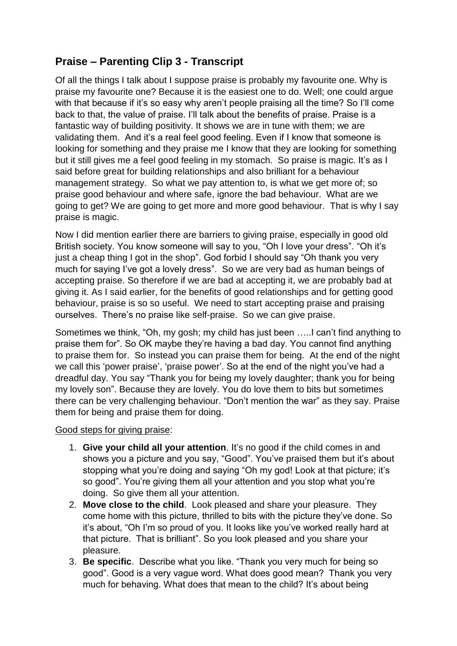## **Praise – Parenting Clip 3 - Transcript**

Of all the things I talk about I suppose praise is probably my favourite one. Why is praise my favourite one? Because it is the easiest one to do. Well; one could argue with that because if it's so easy why aren't people praising all the time? So I'll come back to that, the value of praise. I'll talk about the benefits of praise. Praise is a fantastic way of building positivity. It shows we are in tune with them; we are validating them. And it's a real feel good feeling. Even if I know that someone is looking for something and they praise me I know that they are looking for something but it still gives me a feel good feeling in my stomach. So praise is magic. It's as I said before great for building relationships and also brilliant for a behaviour management strategy. So what we pay attention to, is what we get more of; so praise good behaviour and where safe, ignore the bad behaviour. What are we going to get? We are going to get more and more good behaviour. That is why I say praise is magic.

Now I did mention earlier there are barriers to giving praise, especially in good old British society. You know someone will say to you, "Oh I love your dress". "Oh it's just a cheap thing I got in the shop". God forbid I should say "Oh thank you very much for saying I've got a lovely dress". So we are very bad as human beings of accepting praise. So therefore if we are bad at accepting it, we are probably bad at giving it. As I said earlier, for the benefits of good relationships and for getting good behaviour, praise is so so useful. We need to start accepting praise and praising ourselves. There's no praise like self-praise. So we can give praise.

Sometimes we think, "Oh, my gosh; my child has just been …..I can't find anything to praise them for". So OK maybe they're having a bad day. You cannot find anything to praise them for. So instead you can praise them for being. At the end of the night we call this 'power praise', 'praise power'. So at the end of the night you've had a dreadful day. You say "Thank you for being my lovely daughter; thank you for being my lovely son". Because they are lovely. You do love them to bits but sometimes there can be very challenging behaviour. "Don't mention the war" as they say. Praise them for being and praise them for doing.

## Good steps for giving praise:

- 1. **Give your child all your attention**. It's no good if the child comes in and shows you a picture and you say, "Good". You've praised them but it's about stopping what you're doing and saying "Oh my god! Look at that picture; it's so good". You're giving them all your attention and you stop what you're doing. So give them all your attention.
- 2. **Move close to the child**. Look pleased and share your pleasure. They come home with this picture, thrilled to bits with the picture they've done. So it's about, "Oh I'm so proud of you. It looks like you've worked really hard at that picture. That is brilliant". So you look pleased and you share your pleasure.
- 3. **Be specific**. Describe what you like. "Thank you very much for being so good". Good is a very vague word. What does good mean? Thank you very much for behaving. What does that mean to the child? It's about being